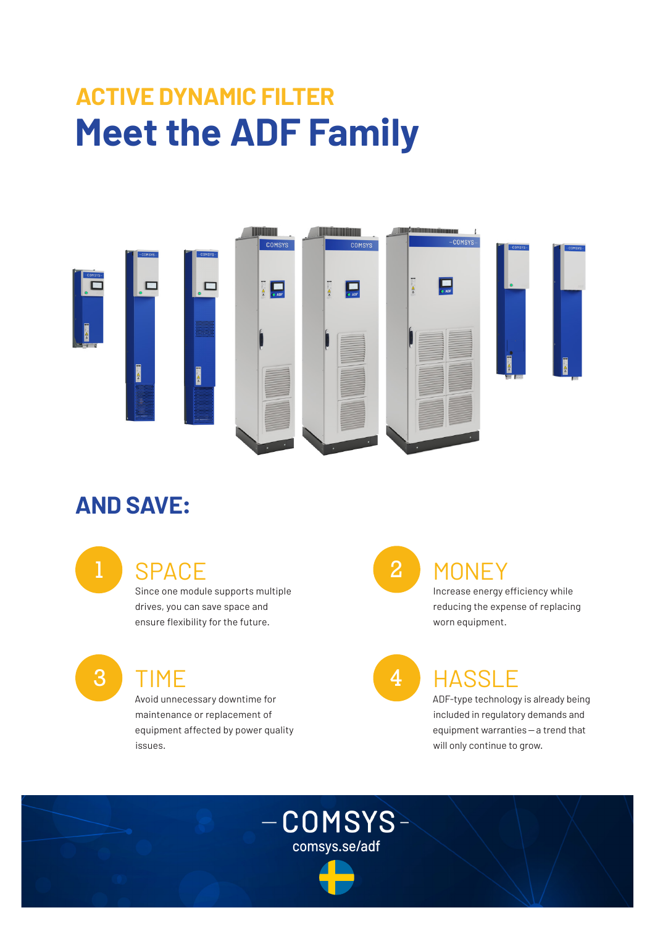# **ACTIVE DYNAMIC FILTER Meet the ADF Family**



comsys.se/adf

 $-COMSYS-$ 

#### **AND SAVE:**

### 1 SPACE 2

Since one module supports multiple drives, you can save space and ensure flexibility for the future.

3 TIME 4

Avoid unnecessary downtime for maintenance or replacement of equipment affected by power quality issues.

## **MONEY**

Increase energy efficiency while reducing the expense of replacing worn equipment.

#### **HASSLE**

ADF-type technology is already being included in regulatory demands and equipment warranties—a trend that will only continue to grow.